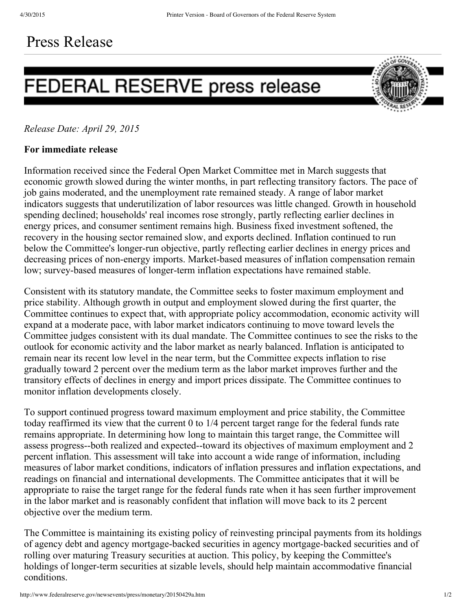## Press Release

## FEDERAL RESERVE press release



## *Release Date: April 29, 2015*

## **For immediate release**

Information received since the Federal Open Market Committee met in March suggests that economic growth slowed during the winter months, in part reflecting transitory factors. The pace of job gains moderated, and the unemployment rate remained steady. A range of labor market indicators suggests that underutilization of labor resources was little changed. Growth in household spending declined; households' real incomes rose strongly, partly reflecting earlier declines in energy prices, and consumer sentiment remains high. Business fixed investment softened, the recovery in the housing sector remained slow, and exports declined. Inflation continued to run below the Committee's longer-run objective, partly reflecting earlier declines in energy prices and decreasing prices of non-energy imports. Market-based measures of inflation compensation remain low; survey-based measures of longer-term inflation expectations have remained stable.

Consistent with its statutory mandate, the Committee seeks to foster maximum employment and price stability. Although growth in output and employment slowed during the first quarter, the Committee continues to expect that, with appropriate policy accommodation, economic activity will expand at a moderate pace, with labor market indicators continuing to move toward levels the Committee judges consistent with its dual mandate. The Committee continues to see the risks to the outlook for economic activity and the labor market as nearly balanced. Inflation is anticipated to remain near its recent low level in the near term, but the Committee expects inflation to rise gradually toward 2 percent over the medium term as the labor market improves further and the transitory effects of declines in energy and import prices dissipate. The Committee continues to monitor inflation developments closely.

To support continued progress toward maximum employment and price stability, the Committee today reaffirmed its view that the current 0 to 1/4 percent target range for the federal funds rate remains appropriate. In determining how long to maintain this target range, the Committee will assess progress-both realized and expected-toward its objectives of maximum employment and 2 percent inflation. This assessment will take into account a wide range of information, including measures of labor market conditions, indicators of inflation pressures and inflation expectations, and readings on financial and international developments. The Committee anticipates that it will be appropriate to raise the target range for the federal funds rate when it has seen further improvement in the labor market and is reasonably confident that inflation will move back to its 2 percent objective over the medium term.

The Committee is maintaining its existing policy of reinvesting principal payments from its holdings of agency debt and agency mortgage-backed securities in agency mortgage-backed securities and of rolling over maturing Treasury securities at auction. This policy, by keeping the Committee's holdings of longer-term securities at sizable levels, should help maintain accommodative financial conditions.